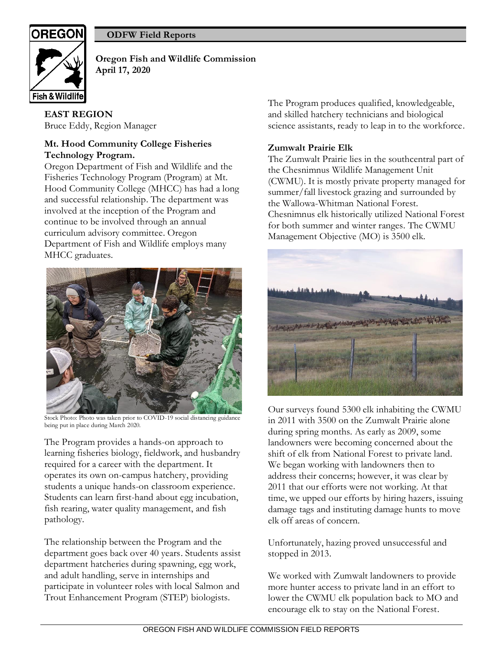# OREGON

# **ODFW Field Reports**



**Oregon Fish and Wildlife Commission April 17, 2020**

# **EAST REGION** Bruce Eddy, Region Manager

# **Mt. Hood Community College Fisheries Technology Program.**

Oregon Department of Fish and Wildlife and the Fisheries Technology Program (Program) at Mt. Hood Community College (MHCC) has had a long and successful relationship. The department was involved at the inception of the Program and continue to be involved through an annual curriculum advisory committee. Oregon Department of Fish and Wildlife employs many MHCC graduates.



Stock Photo: Photo was taken prior to COVID-19 social distancing guidance being put in place during March 2020.

The Program provides a hands-on approach to learning fisheries biology, fieldwork, and husbandry required for a career with the department. It operates its own on-campus hatchery, providing students a unique hands-on classroom experience. Students can learn first-hand about egg incubation, fish rearing, water quality management, and fish pathology.

The relationship between the Program and the department goes back over 40 years. Students assist department hatcheries during spawning, egg work, and adult handling, serve in internships and participate in volunteer roles with local Salmon and Trout Enhancement Program (STEP) biologists.

The Program produces qualified, knowledgeable, and skilled hatchery technicians and biological science assistants, ready to leap in to the workforce.

# **Zumwalt Prairie Elk**

The Zumwalt Prairie lies in the southcentral part of the Chesnimnus Wildlife Management Unit (CWMU). It is mostly private property managed for summer/fall livestock grazing and surrounded by the Wallowa-Whitman National Forest. Chesnimnus elk historically utilized National Forest for both summer and winter ranges. The CWMU Management Objective (MO) is 3500 elk.



Our surveys found 5300 elk inhabiting the CWMU in 2011 with 3500 on the Zumwalt Prairie alone during spring months. As early as 2009, some landowners were becoming concerned about the shift of elk from National Forest to private land. We began working with landowners then to address their concerns; however, it was clear by 2011 that our efforts were not working. At that time, we upped our efforts by hiring hazers, issuing damage tags and instituting damage hunts to move elk off areas of concern.

Unfortunately, hazing proved unsuccessful and stopped in 2013.

We worked with Zumwalt landowners to provide more hunter access to private land in an effort to lower the CWMU elk population back to MO and encourage elk to stay on the National Forest.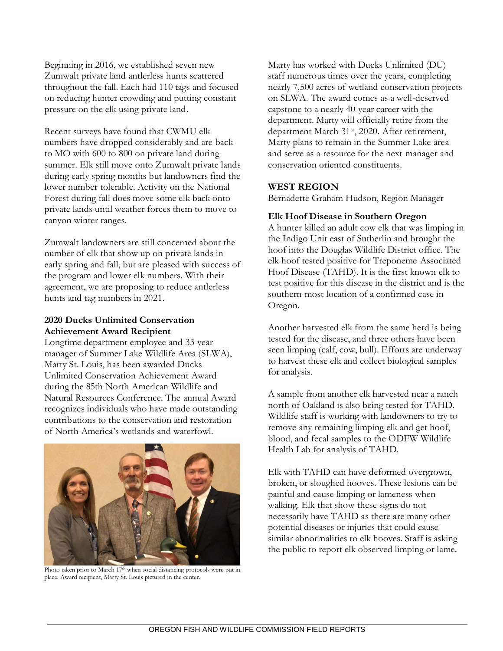Beginning in 2016, we established seven new Zumwalt private land antlerless hunts scattered throughout the fall. Each had 110 tags and focused on reducing hunter crowding and putting constant pressure on the elk using private land.

Recent surveys have found that CWMU elk numbers have dropped considerably and are back to MO with 600 to 800 on private land during summer. Elk still move onto Zumwalt private lands during early spring months but landowners find the lower number tolerable. Activity on the National Forest during fall does move some elk back onto private lands until weather forces them to move to canyon winter ranges.

Zumwalt landowners are still concerned about the number of elk that show up on private lands in early spring and fall, but are pleased with success of the program and lower elk numbers. With their agreement, we are proposing to reduce antlerless hunts and tag numbers in 2021.

# **2020 Ducks Unlimited Conservation Achievement Award Recipient**

Longtime department employee and 33-year manager of Summer Lake Wildlife Area (SLWA), Marty St. Louis, has been awarded Ducks Unlimited Conservation Achievement Award during the 85th North American Wildlife and Natural Resources Conference. The annual Award recognizes individuals who have made outstanding contributions to the conservation and restoration of North America's wetlands and waterfowl.



Photo taken prior to March 17<sup>th</sup> when social distancing protocols were put in place. Award recipient, Marty St. Louis pictured in the center.

Marty has worked with Ducks Unlimited (DU) staff numerous times over the years, completing nearly 7,500 acres of wetland conservation projects on SLWA. The award comes as a well-deserved capstone to a nearly 40-year career with the department. Marty will officially retire from the department March 31<sup>st</sup>, 2020. After retirement, Marty plans to remain in the Summer Lake area and serve as a resource for the next manager and conservation oriented constituents.

### **WEST REGION**

Bernadette Graham Hudson, Region Manager

### **Elk Hoof Disease in Southern Oregon**

A hunter killed an adult cow elk that was limping in the Indigo Unit east of Sutherlin and brought the hoof into the Douglas Wildlife District office. The elk hoof tested positive for Treponeme Associated Hoof Disease (TAHD). It is the first known elk to test positive for this disease in the district and is the southern-most location of a confirmed case in Oregon.

Another harvested elk from the same herd is being tested for the disease, and three others have been seen limping (calf, cow, bull). Efforts are underway to harvest these elk and collect biological samples for analysis.

A sample from another elk harvested near a ranch north of Oakland is also being tested for TAHD. Wildlife staff is working with landowners to try to remove any remaining limping elk and get hoof, blood, and fecal samples to the ODFW Wildlife Health Lab for analysis of TAHD.

Elk with TAHD can have deformed overgrown, broken, or sloughed hooves. These lesions can be painful and cause limping or lameness when walking. Elk that show these signs do not necessarily have TAHD as there are many other potential diseases or injuries that could cause similar abnormalities to elk hooves. Staff is asking the public to report elk observed limping or lame.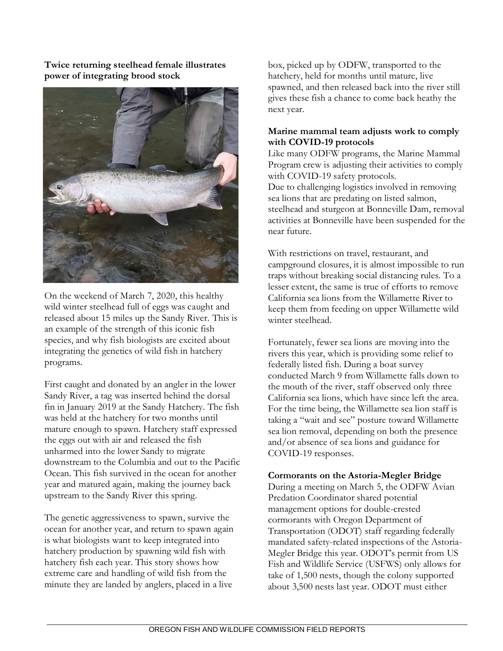**Twice returning steelhead female illustrates power of integrating brood stock**



On the weekend of March 7, 2020, this healthy wild winter steelhead full of eggs was caught and released about 15 miles up the Sandy River. This is an example of the strength of this iconic fish species, and why fish biologists are excited about integrating the genetics of wild fish in hatchery programs.

First caught and donated by an angler in the lower Sandy River, a tag was inserted behind the dorsal fin in January 2019 at the Sandy Hatchery. The fish was held at the hatchery for two months until mature enough to spawn. Hatchery staff expressed the eggs out with air and released the fish unharmed into the lower Sandy to migrate downstream to the Columbia and out to the Pacific Ocean. This fish survived in the ocean for another year and matured again, making the journey back upstream to the Sandy River this spring.

The genetic aggressiveness to spawn, survive the ocean for another year, and return to spawn again is what biologists want to keep integrated into hatchery production by spawning wild fish with hatchery fish each year. This story shows how extreme care and handling of wild fish from the minute they are landed by anglers, placed in a live

box, picked up by ODFW, transported to the hatchery, held for months until mature, live spawned, and then released back into the river still gives these fish a chance to come back heathy the next year.

### **Marine mammal team adjusts work to comply with COVID-19 protocols**

Like many ODFW programs, the Marine Mammal Program crew is adjusting their activities to comply with COVID-19 safety protocols. Due to challenging logistics involved in removing

sea lions that are predating on listed salmon, steelhead and sturgeon at Bonneville Dam, removal activities at Bonneville have been suspended for the near future.

With restrictions on travel, restaurant, and campground closures, it is almost impossible to run traps without breaking social distancing rules. To a lesser extent, the same is true of efforts to remove California sea lions from the Willamette River to keep them from feeding on upper Willamette wild winter steelhead.

Fortunately, fewer sea lions are moving into the rivers this year, which is providing some relief to federally listed fish. During a boat survey conducted March 9 from Willamette falls down to the mouth of the river, staff observed only three California sea lions, which have since left the area. For the time being, the Willamette sea lion staff is taking a "wait and see" posture toward Willamette sea lion removal, depending on both the presence and/or absence of sea lions and guidance for COVID-19 responses.

# **Cormorants on the Astoria-Megler Bridge**

During a meeting on March 5, the ODFW Avian Predation Coordinator shared potential management options for double-crested cormorants with Oregon Department of Transportation (ODOT) staff regarding federally mandated safety-related inspections of the Astoria-Megler Bridge this year. ODOT's permit from US Fish and Wildlife Service (USFWS) only allows for take of 1,500 nests, though the colony supported about 3,500 nests last year. ODOT must either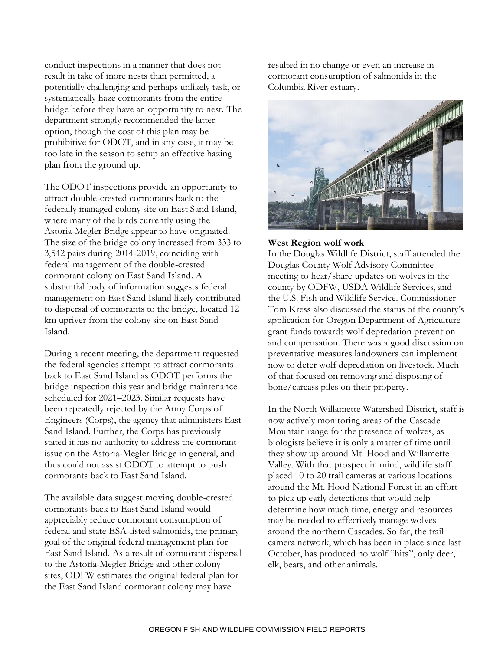conduct inspections in a manner that does not result in take of more nests than permitted, a potentially challenging and perhaps unlikely task, or systematically haze cormorants from the entire bridge before they have an opportunity to nest. The department strongly recommended the latter option, though the cost of this plan may be prohibitive for ODOT, and in any case, it may be too late in the season to setup an effective hazing plan from the ground up.

The ODOT inspections provide an opportunity to attract double-crested cormorants back to the federally managed colony site on East Sand Island, where many of the birds currently using the Astoria-Megler Bridge appear to have originated. The size of the bridge colony increased from 333 to 3,542 pairs during 2014-2019, coinciding with federal management of the double-crested cormorant colony on East Sand Island. A substantial body of information suggests federal management on East Sand Island likely contributed to dispersal of cormorants to the bridge, located 12 km upriver from the colony site on East Sand Island.

During a recent meeting, the department requested the federal agencies attempt to attract cormorants back to East Sand Island as ODOT performs the bridge inspection this year and bridge maintenance scheduled for 2021–2023. Similar requests have been repeatedly rejected by the Army Corps of Engineers (Corps), the agency that administers East Sand Island. Further, the Corps has previously stated it has no authority to address the cormorant issue on the Astoria-Megler Bridge in general, and thus could not assist ODOT to attempt to push cormorants back to East Sand Island.

The available data suggest moving double-crested cormorants back to East Sand Island would appreciably reduce cormorant consumption of federal and state ESA-listed salmonids, the primary goal of the original federal management plan for East Sand Island. As a result of cormorant dispersal to the Astoria-Megler Bridge and other colony sites, ODFW estimates the original federal plan for the East Sand Island cormorant colony may have

resulted in no change or even an increase in cormorant consumption of salmonids in the Columbia River estuary.



#### **West Region wolf work**

In the Douglas Wildlife District, staff attended the Douglas County Wolf Advisory Committee meeting to hear/share updates on wolves in the county by ODFW, USDA Wildlife Services, and the U.S. Fish and Wildlife Service. Commissioner Tom Kress also discussed the status of the county's application for Oregon Department of Agriculture grant funds towards wolf depredation prevention and compensation. There was a good discussion on preventative measures landowners can implement now to deter wolf depredation on livestock. Much of that focused on removing and disposing of bone/carcass piles on their property.

In the North Willamette Watershed District, staff is now actively monitoring areas of the Cascade Mountain range for the presence of wolves, as biologists believe it is only a matter of time until they show up around Mt. Hood and Willamette Valley. With that prospect in mind, wildlife staff placed 10 to 20 trail cameras at various locations around the Mt. Hood National Forest in an effort to pick up early detections that would help determine how much time, energy and resources may be needed to effectively manage wolves around the northern Cascades. So far, the trail camera network, which has been in place since last October, has produced no wolf "hits", only deer, elk, bears, and other animals.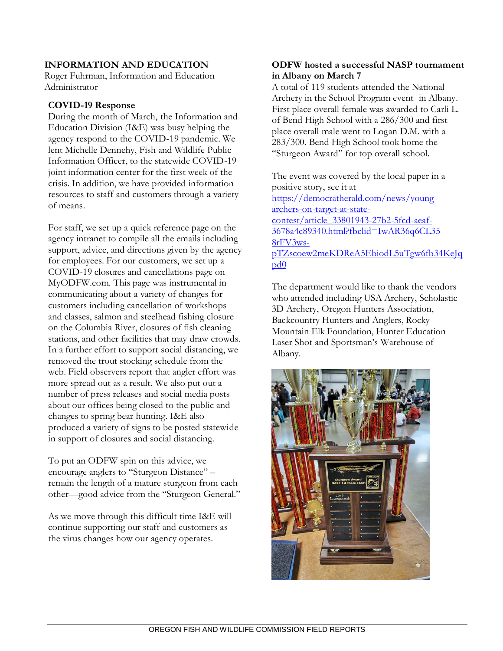# **INFORMATION AND EDUCATION**

Roger Fuhrman, Information and Education Administrator

#### **COVID-19 Response**

During the month of March, the Information and Education Division (I&E) was busy helping the agency respond to the COVID-19 pandemic. We lent Michelle Dennehy, Fish and Wildlife Public Information Officer, to the statewide COVID-19 joint information center for the first week of the crisis. In addition, we have provided information resources to staff and customers through a variety of means.

For staff, we set up a quick reference page on the agency intranet to compile all the emails including support, advice, and directions given by the agency for employees. For our customers, we set up a COVID-19 closures and cancellations page on MyODFW.com. This page was instrumental in communicating about a variety of changes for customers including cancellation of workshops and classes, salmon and steelhead fishing closure on the Columbia River, closures of fish cleaning stations, and other facilities that may draw crowds. In a further effort to support social distancing, we removed the trout stocking schedule from the web. Field observers report that angler effort was more spread out as a result. We also put out a number of press releases and social media posts about our offices being closed to the public and changes to spring bear hunting. I&E also produced a variety of signs to be posted statewide in support of closures and social distancing.

To put an ODFW spin on this advice, we encourage anglers to "Sturgeon Distance" – remain the length of a mature sturgeon from each other—good advice from the "Sturgeon General."

As we move through this difficult time I&E will continue supporting our staff and customers as the virus changes how our agency operates.

### **ODFW hosted a successful NASP tournament in Albany on March 7**

A total of 119 students attended the National Archery in the School Program event in Albany. First place overall female was awarded to Carli L. of Bend High School with a 286/300 and first place overall male went to Logan D.M. with a 283/300. Bend High School took home the "Sturgeon Award" for top overall school.

The event was covered by the local paper in a positive story, see it at [https://democratherald.com/news/young](https://democratherald.com/news/young-archers-on-target-at-state-contest/article_33801943-27b2-5fcd-aeaf-3678a4c89340.html?fbclid=IwAR36q6CL35-8rFV3ws-pTZscoew2meKDReA5EbiodL5uTgw6fb34KeJqpd0)[archers-on-target-at-state](https://democratherald.com/news/young-archers-on-target-at-state-contest/article_33801943-27b2-5fcd-aeaf-3678a4c89340.html?fbclid=IwAR36q6CL35-8rFV3ws-pTZscoew2meKDReA5EbiodL5uTgw6fb34KeJqpd0)[contest/article\\_33801943-27b2-5fcd-aeaf-](https://democratherald.com/news/young-archers-on-target-at-state-contest/article_33801943-27b2-5fcd-aeaf-3678a4c89340.html?fbclid=IwAR36q6CL35-8rFV3ws-pTZscoew2meKDReA5EbiodL5uTgw6fb34KeJqpd0)[3678a4c89340.html?fbclid=IwAR36q6CL35-](https://democratherald.com/news/young-archers-on-target-at-state-contest/article_33801943-27b2-5fcd-aeaf-3678a4c89340.html?fbclid=IwAR36q6CL35-8rFV3ws-pTZscoew2meKDReA5EbiodL5uTgw6fb34KeJqpd0) [8rFV3ws](https://democratherald.com/news/young-archers-on-target-at-state-contest/article_33801943-27b2-5fcd-aeaf-3678a4c89340.html?fbclid=IwAR36q6CL35-8rFV3ws-pTZscoew2meKDReA5EbiodL5uTgw6fb34KeJqpd0)[pTZscoew2meKDReA5EbiodL5uTgw6fb34KeJq](https://democratherald.com/news/young-archers-on-target-at-state-contest/article_33801943-27b2-5fcd-aeaf-3678a4c89340.html?fbclid=IwAR36q6CL35-8rFV3ws-pTZscoew2meKDReA5EbiodL5uTgw6fb34KeJqpd0) [pd0](https://democratherald.com/news/young-archers-on-target-at-state-contest/article_33801943-27b2-5fcd-aeaf-3678a4c89340.html?fbclid=IwAR36q6CL35-8rFV3ws-pTZscoew2meKDReA5EbiodL5uTgw6fb34KeJqpd0)

The department would like to thank the vendors who attended including USA Archery, Scholastic 3D Archery, Oregon Hunters Association, Backcountry Hunters and Anglers, Rocky Mountain Elk Foundation, Hunter Education Laser Shot and Sportsman's Warehouse of Albany.

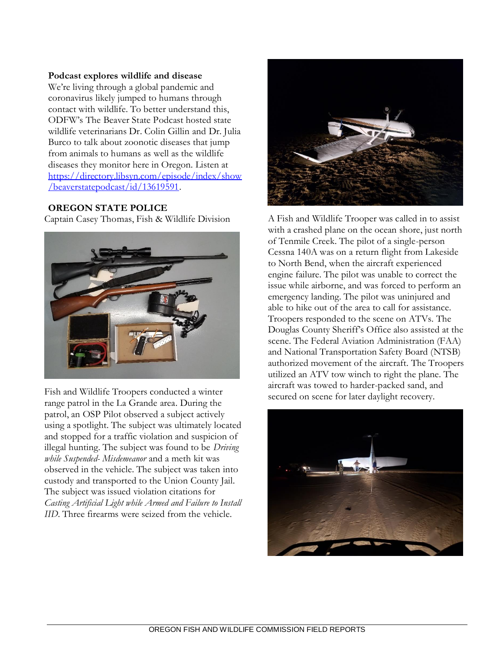#### **Podcast explores wildlife and disease**

We're living through a global pandemic and coronavirus likely jumped to humans through contact with wildlife. To better understand this, ODFW's The Beaver State Podcast hosted state wildlife veterinarians Dr. Colin Gillin and Dr. Julia Burco to talk about zoonotic diseases that jump from animals to humans as well as the wildlife diseases they monitor here in Oregon. Listen at [https://directory.libsyn.com/episode/index/show](https://directory.libsyn.com/episode/index/show/beaverstatepodcast/id/13619591) [/beaverstatepodcast/id/13619591.](https://directory.libsyn.com/episode/index/show/beaverstatepodcast/id/13619591)

#### **OREGON STATE POLICE**

Captain Casey Thomas, Fish & Wildlife Division



Fish and Wildlife Troopers conducted a winter range patrol in the La Grande area. During the patrol, an OSP Pilot observed a subject actively using a spotlight. The subject was ultimately located and stopped for a traffic violation and suspicion of illegal hunting. The subject was found to be *Driving while Suspended- Misdemeanor* and a meth kit was observed in the vehicle. The subject was taken into custody and transported to the Union County Jail. The subject was issued violation citations for *Casting Artificial Light while Armed and Failure to Install IID*. Three firearms were seized from the vehicle.



A Fish and Wildlife Trooper was called in to assist with a crashed plane on the ocean shore, just north of Tenmile Creek. The pilot of a single-person Cessna 140A was on a return flight from Lakeside to North Bend, when the aircraft experienced engine failure. The pilot was unable to correct the issue while airborne, and was forced to perform an emergency landing. The pilot was uninjured and able to hike out of the area to call for assistance. Troopers responded to the scene on ATVs. The Douglas County Sheriff's Office also assisted at the scene. The Federal Aviation Administration (FAA) and National Transportation Safety Board (NTSB) authorized movement of the aircraft. The Troopers utilized an ATV tow winch to right the plane. The aircraft was towed to harder-packed sand, and secured on scene for later daylight recovery.

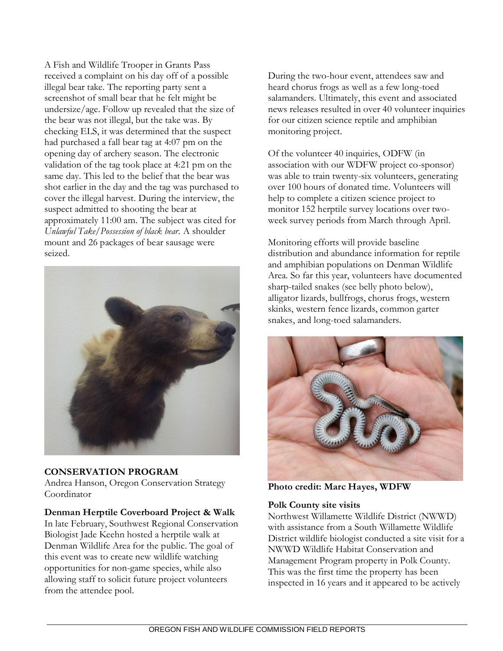A Fish and Wildlife Trooper in Grants Pass received a complaint on his day off of a possible illegal bear take. The reporting party sent a screenshot of small bear that he felt might be undersize/age. Follow up revealed that the size of the bear was not illegal, but the take was. By checking ELS, it was determined that the suspect had purchased a fall bear tag at 4:07 pm on the opening day of archery season. The electronic validation of the tag took place at 4:21 pm on the same day. This led to the belief that the bear was shot earlier in the day and the tag was purchased to cover the illegal harvest. During the interview, the suspect admitted to shooting the bear at approximately 11:00 am. The subject was cited for *Unlawful Take/Possession of black bear.* A shoulder mount and 26 packages of bear sausage were seized.



# **CONSERVATION PROGRAM**

Andrea Hanson, Oregon Conservation Strategy Coordinator

# **Denman Herptile Coverboard Project & Walk**

In late February, Southwest Regional Conservation Biologist Jade Keehn hosted a herptile walk at Denman Wildlife Area for the public. The goal of this event was to create new wildlife watching opportunities for non-game species, while also allowing staff to solicit future project volunteers from the attendee pool.

During the two-hour event, attendees saw and heard chorus frogs as well as a few long-toed salamanders. Ultimately, this event and associated news releases resulted in over 40 volunteer inquiries for our citizen science reptile and amphibian monitoring project.

Of the volunteer 40 inquiries, ODFW (in association with our WDFW project co-sponsor) was able to train twenty-six volunteers, generating over 100 hours of donated time. Volunteers will help to complete a citizen science project to monitor 152 herptile survey locations over twoweek survey periods from March through April.

Monitoring efforts will provide baseline distribution and abundance information for reptile and amphibian populations on Denman Wildlife Area. So far this year, volunteers have documented sharp-tailed snakes (see belly photo below), alligator lizards, bullfrogs, chorus frogs, western skinks, western fence lizards, common garter snakes, and long-toed salamanders.



**Photo credit: Marc Hayes, WDFW**

# **Polk County site visits**

Northwest Willamette Wildlife District (NWWD) with assistance from a South Willamette Wildlife District wildlife biologist conducted a site visit for a NWWD Wildlife Habitat Conservation and Management Program property in Polk County. This was the first time the property has been inspected in 16 years and it appeared to be actively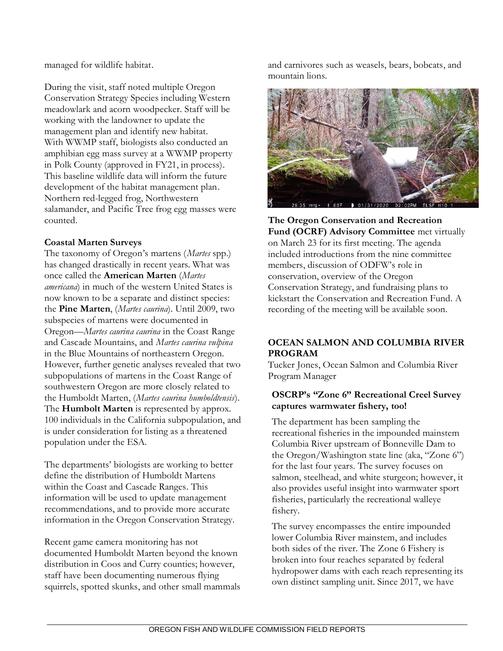managed for wildlife habitat.

During the visit, staff noted multiple Oregon Conservation Strategy Species including Western meadowlark and acorn woodpecker. Staff will be working with the landowner to update the management plan and identify new habitat. With WWMP staff, biologists also conducted an amphibian egg mass survey at a WWMP property in Polk County (approved in FY21, in process). This baseline wildlife data will inform the future development of the habitat management plan. Northern red-legged frog, Northwestern salamander, and Pacific Tree frog egg masses were counted.

# **Coastal Marten Surveys**

The taxonomy of Oregon's martens (*Martes* spp.) has changed drastically in recent years. What was once called the **American Marten** (*Martes americana*) in much of the western United States is now known to be a separate and distinct species: the **Pine Marten**, (*Martes caurina*). Until 2009, two subspecies of martens were documented in Oregon—*Martes caurina caurina* in the Coast Range and Cascade Mountains, and *Martes caurina vulpina*  in the Blue Mountains of northeastern Oregon. However, further genetic analyses revealed that two subpopulations of martens in the Coast Range of southwestern Oregon are more closely related to the Humboldt Marten, (*Martes caurina humboldtensis*). The **Humbolt Marten** is represented by approx. 100 individuals in the California subpopulation, and is under consideration for listing as a threatened population under the ESA.

The departments' biologists are working to better define the distribution of Humboldt Martens within the Coast and Cascade Ranges. This information will be used to update management recommendations, and to provide more accurate information in the Oregon Conservation Strategy.

Recent game camera monitoring has not documented Humboldt Marten beyond the known distribution in Coos and Curry counties; however, staff have been documenting numerous flying squirrels, spotted skunks, and other small mammals and carnivores such as weasels, bears, bobcats, and mountain lions.



**The Oregon Conservation and Recreation Fund (OCRF) Advisory Committee** met virtually on March 23 for its first meeting. The agenda included introductions from the nine committee members, discussion of ODFW's role in conservation, overview of the Oregon Conservation Strategy, and fundraising plans to kickstart the Conservation and Recreation Fund. A recording of the meeting will be available soon.

# **OCEAN SALMON AND COLUMBIA RIVER PROGRAM**

Tucker Jones, Ocean Salmon and Columbia River Program Manager

# **OSCRP's "Zone 6" Recreational Creel Survey captures warmwater fishery, too!**

The department has been sampling the recreational fisheries in the impounded mainstem Columbia River upstream of Bonneville Dam to the Oregon/Washington state line (aka, "Zone 6") for the last four years. The survey focuses on salmon, steelhead, and white sturgeon; however, it also provides useful insight into warmwater sport fisheries, particularly the recreational walleye fishery.

The survey encompasses the entire impounded lower Columbia River mainstem, and includes both sides of the river. The Zone 6 Fishery is broken into four reaches separated by federal hydropower dams with each reach representing its own distinct sampling unit. Since 2017, we have